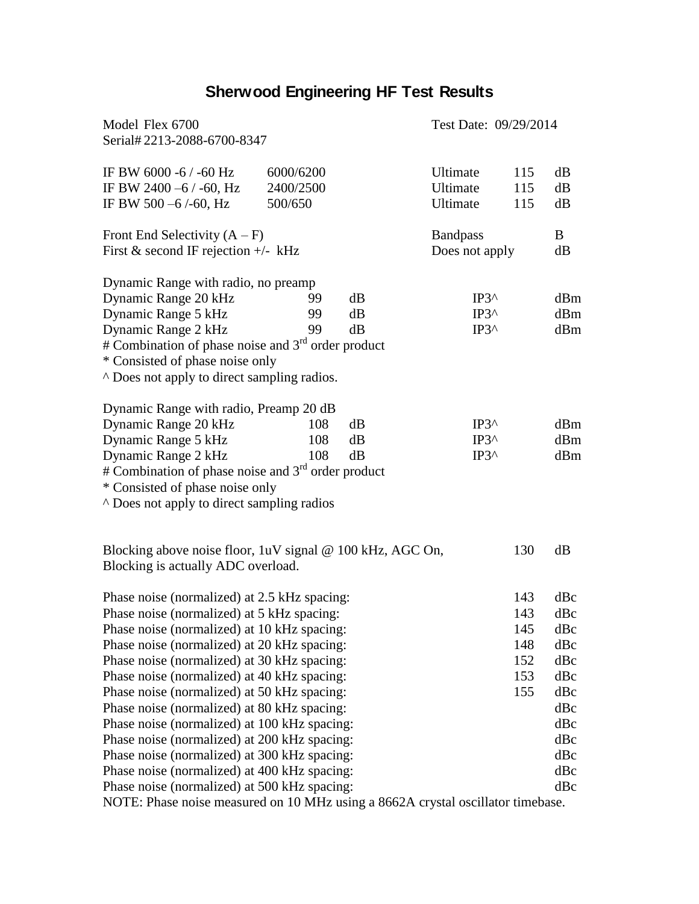## **Sherwood Engineering HF Test Results**

| Model Flex 6700<br>Serial#2213-2088-6700-8347                                                                                                                                                                                                                                                                                                                                                                                                                                                                                                                                                                                        |                                   |                |                                                    | Test Date: 09/29/2014                         |                                                                                         |  |
|--------------------------------------------------------------------------------------------------------------------------------------------------------------------------------------------------------------------------------------------------------------------------------------------------------------------------------------------------------------------------------------------------------------------------------------------------------------------------------------------------------------------------------------------------------------------------------------------------------------------------------------|-----------------------------------|----------------|----------------------------------------------------|-----------------------------------------------|-----------------------------------------------------------------------------------------|--|
| IF BW 6000 -6 / -60 Hz<br>IF BW 2400 -6 / -60, Hz<br>IF BW 500 $-6$ /-60, Hz                                                                                                                                                                                                                                                                                                                                                                                                                                                                                                                                                         | 6000/6200<br>2400/2500<br>500/650 |                | Ultimate<br>Ultimate<br>Ultimate                   | 115<br>115<br>115                             | dB<br>dB<br>dB                                                                          |  |
| Front End Selectivity $(A - F)$<br>First & second IF rejection $+/-$ kHz                                                                                                                                                                                                                                                                                                                                                                                                                                                                                                                                                             |                                   |                | <b>Bandpass</b>                                    | Does not apply                                |                                                                                         |  |
| Dynamic Range with radio, no preamp<br>Dynamic Range 20 kHz<br>Dynamic Range 5 kHz<br>Dynamic Range 2 kHz<br># Combination of phase noise and 3 <sup>rd</sup> order product<br>* Consisted of phase noise only<br>A Does not apply to direct sampling radios.                                                                                                                                                                                                                                                                                                                                                                        | 99<br>99<br>99                    | dB<br>dB<br>dB | $IP3^{\wedge}$<br>$IP3^{\wedge}$<br>$IP3^{\wedge}$ |                                               | dBm<br>dBm<br>dBm                                                                       |  |
| Dynamic Range with radio, Preamp 20 dB<br>Dynamic Range 20 kHz<br>Dynamic Range 5 kHz<br>Dynamic Range 2 kHz<br># Combination of phase noise and $3rd$ order product<br>* Consisted of phase noise only<br>A Does not apply to direct sampling radios                                                                                                                                                                                                                                                                                                                                                                                | 108<br>108<br>108                 | dB<br>dB<br>dB | $IP3^{\wedge}$<br>$IP3^{\wedge}$<br>$IP3^{\wedge}$ |                                               | dBm<br>dBm<br>dBm                                                                       |  |
| Blocking above noise floor, 1uV signal @ 100 kHz, AGC On,<br>Blocking is actually ADC overload.                                                                                                                                                                                                                                                                                                                                                                                                                                                                                                                                      |                                   |                |                                                    | 130                                           | dB                                                                                      |  |
| Phase noise (normalized) at 2.5 kHz spacing:<br>Phase noise (normalized) at 5 kHz spacing:<br>Phase noise (normalized) at 10 kHz spacing:<br>Phase noise (normalized) at 20 kHz spacing:<br>Phase noise (normalized) at 30 kHz spacing:<br>Phase noise (normalized) at 40 kHz spacing:<br>Phase noise (normalized) at 50 kHz spacing:<br>Phase noise (normalized) at 80 kHz spacing:<br>Phase noise (normalized) at 100 kHz spacing:<br>Phase noise (normalized) at 200 kHz spacing:<br>Phase noise (normalized) at 300 kHz spacing:<br>Phase noise (normalized) at 400 kHz spacing:<br>Phase noise (normalized) at 500 kHz spacing: |                                   |                |                                                    | 143<br>143<br>145<br>148<br>152<br>153<br>155 | dBc<br>dBc<br>dBc<br>dBc<br>dBc<br>dBc<br>dBc<br>dBc<br>dBc<br>dBc<br>dBc<br>dBc<br>dBc |  |

NOTE: Phase noise measured on 10 MHz using a 8662A crystal oscillator timebase.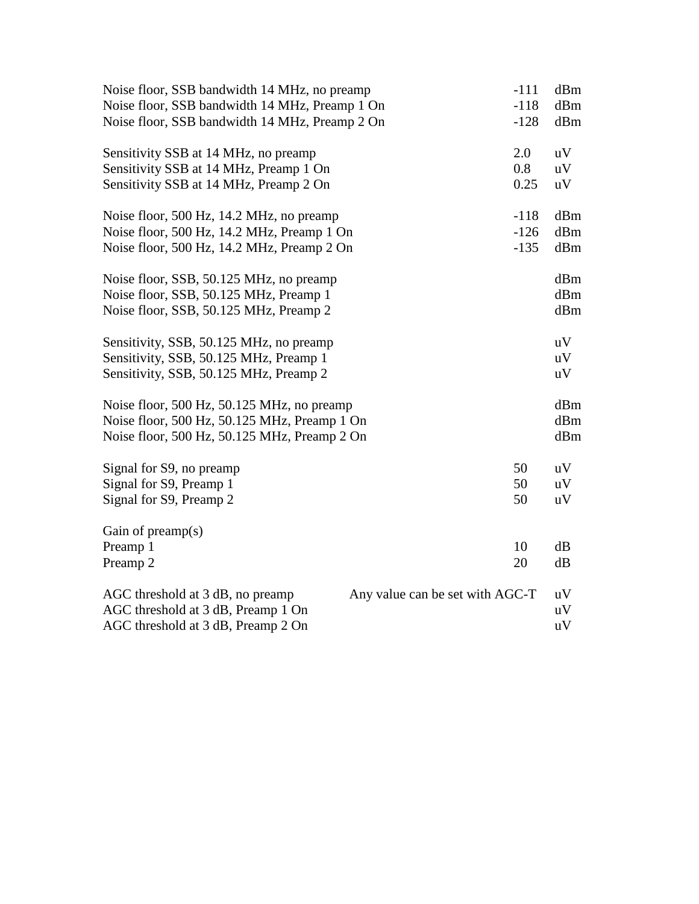| Noise floor, SSB bandwidth 14 MHz, no preamp                        | $-111$ | dBm |  |  |
|---------------------------------------------------------------------|--------|-----|--|--|
| Noise floor, SSB bandwidth 14 MHz, Preamp 1 On                      | $-118$ | dBm |  |  |
| Noise floor, SSB bandwidth 14 MHz, Preamp 2 On<br>$-128$            |        |     |  |  |
| Sensitivity SSB at 14 MHz, no preamp                                | 2.0    | uV  |  |  |
| Sensitivity SSB at 14 MHz, Preamp 1 On                              | 0.8    | uV  |  |  |
| Sensitivity SSB at 14 MHz, Preamp 2 On                              | 0.25   | uV  |  |  |
| Noise floor, 500 Hz, 14.2 MHz, no preamp                            | $-118$ | dBm |  |  |
| Noise floor, 500 Hz, 14.2 MHz, Preamp 1 On                          | $-126$ | dBm |  |  |
| Noise floor, 500 Hz, 14.2 MHz, Preamp 2 On<br>$-135$                |        |     |  |  |
| Noise floor, SSB, 50.125 MHz, no preamp                             |        | dBm |  |  |
| Noise floor, SSB, 50.125 MHz, Preamp 1                              |        | dBm |  |  |
| Noise floor, SSB, 50.125 MHz, Preamp 2                              |        |     |  |  |
| Sensitivity, SSB, 50.125 MHz, no preamp                             |        | uV  |  |  |
| Sensitivity, SSB, 50.125 MHz, Preamp 1                              |        | uV  |  |  |
| Sensitivity, SSB, 50.125 MHz, Preamp 2                              |        | uV  |  |  |
| Noise floor, 500 Hz, 50.125 MHz, no preamp                          |        | dBm |  |  |
| Noise floor, 500 Hz, 50.125 MHz, Preamp 1 On                        |        | dBm |  |  |
| Noise floor, 500 Hz, 50.125 MHz, Preamp 2 On                        |        | dBm |  |  |
| Signal for S9, no preamp                                            | 50     | uV  |  |  |
| Signal for S9, Preamp 1                                             | 50     | uV  |  |  |
| Signal for S9, Preamp 2                                             | 50     | uV  |  |  |
| Gain of $preamp(s)$                                                 |        |     |  |  |
| Preamp 1                                                            | 10     | dB  |  |  |
| Preamp 2                                                            | 20     | dB  |  |  |
| AGC threshold at 3 dB, no preamp<br>Any value can be set with AGC-T |        | uV  |  |  |
| AGC threshold at 3 dB, Preamp 1 On                                  |        | uV  |  |  |
| AGC threshold at 3 dB, Preamp 2 On                                  |        | uV  |  |  |
|                                                                     |        |     |  |  |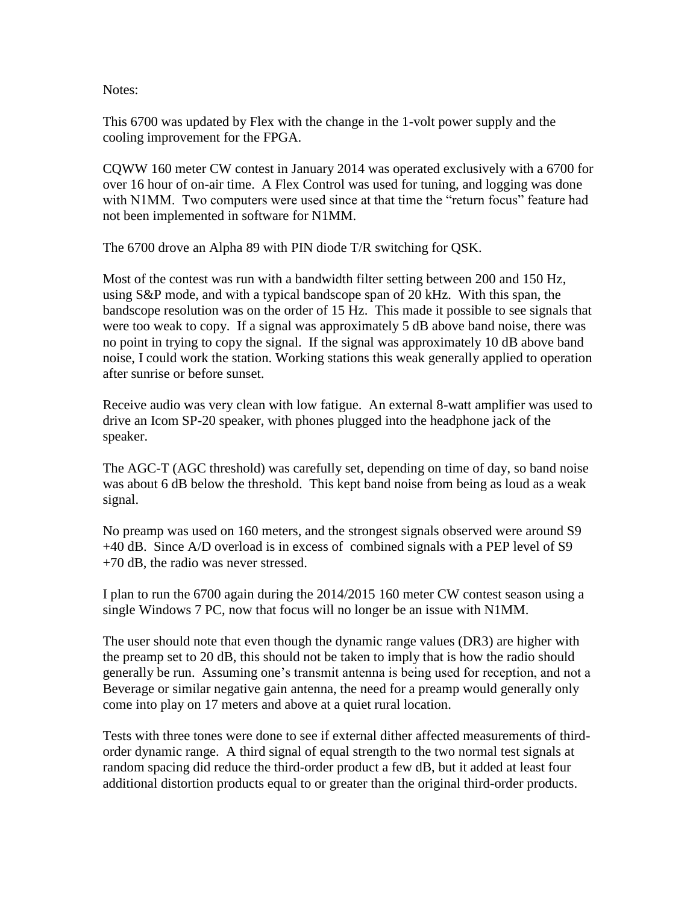Notes:

This 6700 was updated by Flex with the change in the 1-volt power supply and the cooling improvement for the FPGA.

CQWW 160 meter CW contest in January 2014 was operated exclusively with a 6700 for over 16 hour of on-air time. A Flex Control was used for tuning, and logging was done with N1MM. Two computers were used since at that time the "return focus" feature had not been implemented in software for N1MM.

The 6700 drove an Alpha 89 with PIN diode T/R switching for QSK.

Most of the contest was run with a bandwidth filter setting between 200 and 150 Hz, using S&P mode, and with a typical bandscope span of 20 kHz. With this span, the bandscope resolution was on the order of 15 Hz. This made it possible to see signals that were too weak to copy. If a signal was approximately 5 dB above band noise, there was no point in trying to copy the signal. If the signal was approximately 10 dB above band noise, I could work the station. Working stations this weak generally applied to operation after sunrise or before sunset.

Receive audio was very clean with low fatigue. An external 8-watt amplifier was used to drive an Icom SP-20 speaker, with phones plugged into the headphone jack of the speaker.

The AGC-T (AGC threshold) was carefully set, depending on time of day, so band noise was about 6 dB below the threshold. This kept band noise from being as loud as a weak signal.

No preamp was used on 160 meters, and the strongest signals observed were around S9 +40 dB. Since A/D overload is in excess of combined signals with a PEP level of S9 +70 dB, the radio was never stressed.

I plan to run the 6700 again during the 2014/2015 160 meter CW contest season using a single Windows 7 PC, now that focus will no longer be an issue with N1MM.

The user should note that even though the dynamic range values (DR3) are higher with the preamp set to 20 dB, this should not be taken to imply that is how the radio should generally be run. Assuming one's transmit antenna is being used for reception, and not a Beverage or similar negative gain antenna, the need for a preamp would generally only come into play on 17 meters and above at a quiet rural location.

Tests with three tones were done to see if external dither affected measurements of thirdorder dynamic range. A third signal of equal strength to the two normal test signals at random spacing did reduce the third-order product a few dB, but it added at least four additional distortion products equal to or greater than the original third-order products.